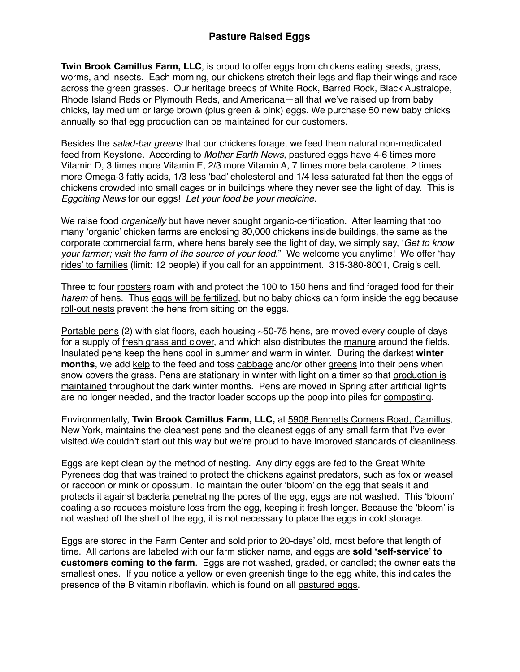**Twin Brook Camillus Farm, LLC**, is proud to offer eggs from chickens eating seeds, grass, worms, and insects. Each morning, our chickens stretch their legs and flap their wings and race across the green grasses. Our heritage breeds of White Rock, Barred Rock, Black Australope, Rhode Island Reds or Plymouth Reds, and Americana—all that we've raised up from baby chicks, lay medium or large brown (plus green & pink) eggs. We purchase 50 new baby chicks annually so that egg production can be maintained for our customers.

Besides the *salad-bar greens* that our chickens forage, we feed them natural non-medicated feed from Keystone. According to *Mother Earth News,* pastured eggs have 4-6 times more Vitamin D, 3 times more Vitamin E, 2/3 more Vitamin A, 7 times more beta carotene, 2 times more Omega-3 fatty acids, 1/3 less 'bad' cholesterol and 1/4 less saturated fat then the eggs of chickens crowded into small cages or in buildings where they never see the light of day. This is *Eggciting News* for our eggs! *Let your food be your medicine.*

We raise food *organically* but have never sought organic-certification. After learning that too many 'organic' chicken farms are enclosing 80,000 chickens inside buildings, the same as the corporate commercial farm, where hens barely see the light of day, we simply say, '*Get to know your farmer; visit the farm of the source of your food*." We welcome you anytime! We offer 'hay rides' to families (limit: 12 people) if you call for an appointment. 315-380-8001, Craig's cell.

Three to four roosters roam with and protect the 100 to 150 hens and find foraged food for their *harem* of hens. Thus eggs will be fertilized, but no baby chicks can form inside the egg because roll-out nests prevent the hens from sitting on the eggs.

Portable pens (2) with slat floors, each housing  $\sim$  50-75 hens, are moved every couple of days for a supply of fresh grass and clover, and which also distributes the manure around the fields. Insulated pens keep the hens cool in summer and warm in winter. During the darkest **winter months**, we add kelp to the feed and toss cabbage and/or other greens into their pens when snow covers the grass. Pens are stationary in winter with light on a timer so that production is maintained throughout the dark winter months. Pens are moved in Spring after artificial lights are no longer needed, and the tractor loader scoops up the poop into piles for composting.

Environmentally, **Twin Brook Camillus Farm, LLC,** at 5908 Bennetts Corners Road, Camillus, New York, maintains the cleanest pens and the cleanest eggs of any small farm that I've ever visited.We couldn't start out this way but we're proud to have improved standards of cleanliness.

Eggs are kept clean by the method of nesting. Any dirty eggs are fed to the Great White Pyrenees dog that was trained to protect the chickens against predators, such as fox or weasel or raccoon or mink or opossum. To maintain the outer 'bloom' on the egg that seals it and protects it against bacteria penetrating the pores of the egg, eggs are not washed. This 'bloom' coating also reduces moisture loss from the egg, keeping it fresh longer. Because the 'bloom' is not washed off the shell of the egg, it is not necessary to place the eggs in cold storage.

Eggs are stored in the Farm Center and sold prior to 20-days' old, most before that length of time. All cartons are labeled with our farm sticker name, and eggs are **sold 'self-service' to customers coming to the farm**. Eggs are not washed, graded, or candled; the owner eats the smallest ones. If you notice a yellow or even greenish tinge to the egg white, this indicates the presence of the B vitamin riboflavin. which is found on all pastured eggs.